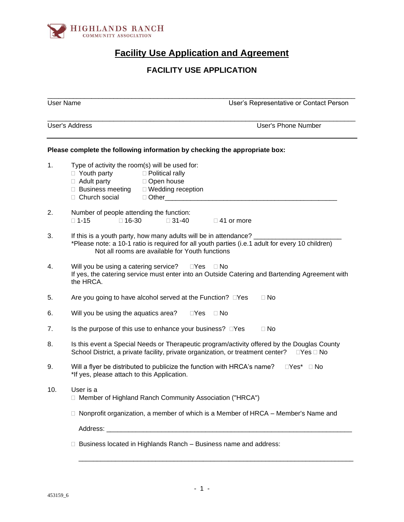

# **Facility Use Application and Agreement**

## **FACILITY USE APPLICATION**

| <b>User Name</b> | User's Representative or Contact Person                                                                                                                                                                                 |
|------------------|-------------------------------------------------------------------------------------------------------------------------------------------------------------------------------------------------------------------------|
|                  | <b>User's Address</b><br><b>User's Phone Number</b>                                                                                                                                                                     |
|                  | Please complete the following information by checking the appropriate box:                                                                                                                                              |
| 1.               | Type of activity the room(s) will be used for:<br>$\Box$ Youth party<br>□ Political rally<br>$\Box$ Adult party<br>□ Open house<br>□ Business meeting<br>□ Wedding reception<br>□ Church social<br>□ Other____________  |
| 2.               | Number of people attending the function:<br>$\Box$ 1-15<br>$\Box$ 16-30<br>$\Box$ 31-40<br>$\Box$ 41 or more                                                                                                            |
| 3.               | If this is a youth party, how many adults will be in attendance?<br>*Please note: a 10-1 ratio is required for all youth parties (i.e.1 adult for every 10 children)<br>Not all rooms are available for Youth functions |
| 4.               | Will you be using a catering service?<br>$\Box$ Yes<br>$\Box$ No<br>If yes, the catering service must enter into an Outside Catering and Bartending Agreement with<br>the HRCA.                                         |
| 5.               | Are you going to have alcohol served at the Function? □Yes<br>$\Box$ No                                                                                                                                                 |
| 6.               | Will you be using the aquatics area?<br>$\Box$ No<br>$\Box$ Yes                                                                                                                                                         |
| 7.               | Is the purpose of this use to enhance your business? $\square$ Yes<br>$\Box$ No                                                                                                                                         |
| 8.               | Is this event a Special Needs or Therapeutic program/activity offered by the Douglas County<br>School District, a private facility, private organization, or treatment center?<br>$\Box$ Yes $\Box$ No                  |
| 9.               | Will a flyer be distributed to publicize the function with HRCA's name?<br>$\Box$ Yes* $\Box$ No<br>*If yes, please attach to this Application.                                                                         |
| 10.              | User is a<br>□ Member of Highland Ranch Community Association ("HRCA")                                                                                                                                                  |
|                  | Nonprofit organization, a member of which is a Member of HRCA - Member's Name and                                                                                                                                       |
|                  |                                                                                                                                                                                                                         |
|                  | Business located in Highlands Ranch - Business name and address:                                                                                                                                                        |

 $\overline{\phantom{a}}$  , and the contribution of the contribution of the contribution of the contribution of the contribution of the contribution of the contribution of the contribution of the contribution of the contribution of the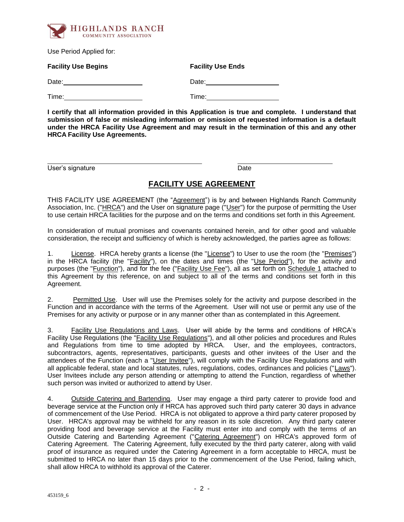

Use Period Applied for:

| <b>Facility Use Begins</b> | <b>Facility Use Ends</b> |
|----------------------------|--------------------------|
| Date:                      | Date:                    |
| Time:                      | Time:                    |

**I certify that all information provided in this Application is true and complete. I understand that submission of false or misleading information or omission of requested information is a default under the HRCA Facility Use Agreement and may result in the termination of this and any other HRCA Facility Use Agreements.** 

User's signature Date Date

## **FACILITY USE AGREEMENT**

THIS FACILITY USE AGREEMENT (the "Agreement") is by and between Highlands Ranch Community Association, Inc. ("HRCA") and the User on signature page ("User") for the purpose of permitting the User to use certain HRCA facilities for the purpose and on the terms and conditions set forth in this Agreement.

In consideration of mutual promises and covenants contained herein, and for other good and valuable consideration, the receipt and sufficiency of which is hereby acknowledged, the parties agree as follows:

1. License. HRCA hereby grants a license (the "License") to User to use the room (the "Premises") in the HRCA facility (the "Facility"), on the dates and times (the "Use Period"), for the activity and purposes (the "Function"), and for the fee ("Facility Use Fee"), all as set forth on Schedule 1 attached to this Agreement by this reference, on and subject to all of the terms and conditions set forth in this Agreement.

2. Permitted Use. User will use the Premises solely for the activity and purpose described in the Function and in accordance with the terms of the Agreement. User will not use or permit any use of the Premises for any activity or purpose or in any manner other than as contemplated in this Agreement.

3. Facility Use Regulations and Laws. User will abide by the terms and conditions of HRCA's Facility Use Regulations (the "Facility Use Regulations"), and all other policies and procedures and Rules and Regulations from time to time adopted by HRCA. User, and the employees, contractors, subcontractors, agents, representatives, participants, guests and other invitees of the User and the attendees of the Function (each a "User Invitee"), will comply with the Facility Use Regulations and with all applicable federal, state and local statutes, rules, regulations, codes, ordinances and policies ("Laws"). User Invitees include any person attending or attempting to attend the Function, regardless of whether such person was invited or authorized to attend by User.

4. Outside Catering and Bartending. User may engage a third party caterer to provide food and beverage service at the Function only if HRCA has approved such third party caterer 30 days in advance of commencement of the Use Period. HRCA is not obligated to approve a third party caterer proposed by User. HRCA's approval may be withheld for any reason in its sole discretion. Any third party caterer providing food and beverage service at the Facility must enter into and comply with the terms of an Outside Catering and Bartending Agreement ("Catering Agreement") on HRCA's approved form of Catering Agreement. The Catering Agreement, fully executed by the third party caterer, along with valid proof of insurance as required under the Catering Agreement in a form acceptable to HRCA, must be submitted to HRCA no later than 15 days prior to the commencement of the Use Period, failing which, shall allow HRCA to withhold its approval of the Caterer.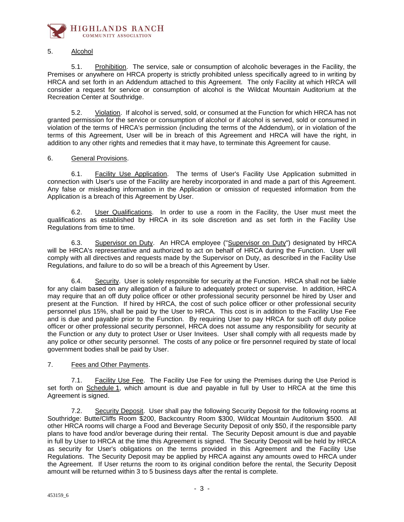

#### 5. Alcohol

5.1. Prohibition. The service, sale or consumption of alcoholic beverages in the Facility, the Premises or anywhere on HRCA property is strictly prohibited unless specifically agreed to in writing by HRCA and set forth in an Addendum attached to this Agreement. The only Facility at which HRCA will consider a request for service or consumption of alcohol is the Wildcat Mountain Auditorium at the Recreation Center at Southridge.

5.2. Violation. If alcohol is served, sold, or consumed at the Function for which HRCA has not granted permission for the service or consumption of alcohol or if alcohol is served, sold or consumed in violation of the terms of HRCA's permission (including the terms of the Addendum), or in violation of the terms of this Agreement, User will be in breach of this Agreement and HRCA will have the right, in addition to any other rights and remedies that it may have, to terminate this Agreement for cause.

#### 6. General Provisions.

6.1. Facility Use Application. The terms of User's Facility Use Application submitted in connection with User's use of the Facility are hereby incorporated in and made a part of this Agreement. Any false or misleading information in the Application or omission of requested information from the Application is a breach of this Agreement by User.

6.2. User Qualifications. In order to use a room in the Facility, the User must meet the qualifications as established by HRCA in its sole discretion and as set forth in the Facility Use Regulations from time to time.

6.3. Supervisor on Duty. An HRCA employee ("Supervisor on Duty") designated by HRCA will be HRCA's representative and authorized to act on behalf of HRCA during the Function. User will comply with all directives and requests made by the Supervisor on Duty, as described in the Facility Use Regulations, and failure to do so will be a breach of this Agreement by User.

6.4. Security. User is solely responsible for security at the Function. HRCA shall not be liable for any claim based on any allegation of a failure to adequately protect or supervise. In addition, HRCA may require that an off duty police officer or other professional security personnel be hired by User and present at the Function. If hired by HRCA, the cost of such police officer or other professional security personnel plus 15%, shall be paid by the User to HRCA. This cost is in addition to the Facility Use Fee and is due and payable prior to the Function. By requiring User to pay HRCA for such off duty police officer or other professional security personnel, HRCA does not assume any responsibility for security at the Function or any duty to protect User or User Invitees. User shall comply with all requests made by any police or other security personnel. The costs of any police or fire personnel required by state of local government bodies shall be paid by User.

#### 7. Fees and Other Payments.

7.1. Facility Use Fee. The Facility Use Fee for using the Premises during the Use Period is set forth on Schedule 1, which amount is due and payable in full by User to HRCA at the time this Agreement is signed.

7.2. Security Deposit. User shall pay the following Security Deposit for the following rooms at Southridge: Butte/Cliffs Room \$200, Backcountry Room \$300, Wildcat Mountain Auditorium \$500. All other HRCA rooms will charge a Food and Beverage Security Deposit of only \$50, if the responsible party plans to have food and/or beverage during their rental. The Security Deposit amount is due and payable in full by User to HRCA at the time this Agreement is signed. The Security Deposit will be held by HRCA as security for User's obligations on the terms provided in this Agreement and the Facility Use Regulations. The Security Deposit may be applied by HRCA against any amounts owed to HRCA under the Agreement. If User returns the room to its original condition before the rental, the Security Deposit amount will be returned within 3 to 5 business days after the rental is complete.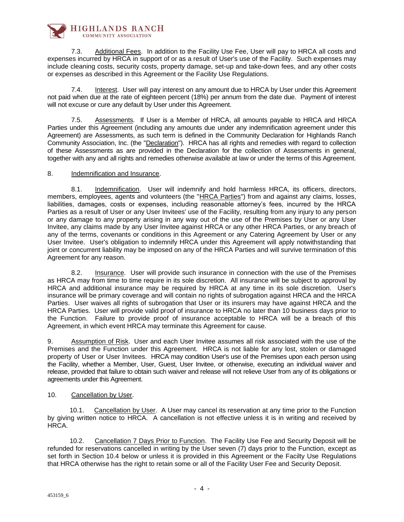

7.3. Additional Fees. In addition to the Facility Use Fee, User will pay to HRCA all costs and expenses incurred by HRCA in support of or as a result of User's use of the Facility. Such expenses may include cleaning costs, security costs, property damage, set-up and take-down fees, and any other costs or expenses as described in this Agreement or the Facility Use Regulations.

7.4. Interest. User will pay interest on any amount due to HRCA by User under this Agreement not paid when due at the rate of eighteen percent (18%) per annum from the date due. Payment of interest will not excuse or cure any default by User under this Agreement.

7.5. Assessments. If User is a Member of HRCA, all amounts payable to HRCA and HRCA Parties under this Agreement (including any amounts due under any indemnification agreement under this Agreement) are Assessments, as such term is defined in the Community Declaration for Highlands Ranch Community Association, Inc. (the "Declaration"). HRCA has all rights and remedies with regard to collection of these Assessments as are provided in the Declaration for the collection of Assessments in general, together with any and all rights and remedies otherwise available at law or under the terms of this Agreement.

#### 8. Indemnification and Insurance.

8.1. Indemnification. User will indemnify and hold harmless HRCA, its officers, directors, members, employees, agents and volunteers (the "HRCA Parties") from and against any claims, losses, liabilities, damages, costs or expenses, including reasonable attorney's fees, incurred by the HRCA Parties as a result of User or any User Invitees' use of the Facility, resulting from any injury to any person or any damage to any property arising in any way out of the use of the Premises by User or any User Invitee, any claims made by any User Invitee against HRCA or any other HRCA Parties, or any breach of any of the terms, covenants or conditions in this Agreement or any Catering Agreement by User or any User Invitee. User's obligation to indemnify HRCA under this Agreement will apply notwithstanding that joint or concurrent liability may be imposed on any of the HRCA Parties and will survive termination of this Agreement for any reason.

8.2. Insurance. User will provide such insurance in connection with the use of the Premises as HRCA may from time to time require in its sole discretion. All insurance will be subject to approval by HRCA and additional insurance may be required by HRCA at any time in its sole discretion. User's insurance will be primary coverage and will contain no rights of subrogation against HRCA and the HRCA Parties. User waives all rights of subrogation that User or its insurers may have against HRCA and the HRCA Parties. User will provide valid proof of insurance to HRCA no later than 10 business days prior to the Function. Failure to provide proof of insurance acceptable to HRCA will be a breach of this Agreement, in which event HRCA may terminate this Agreement for cause.

9. Assumption of Risk. User and each User Invitee assumes all risk associated with the use of the Premises and the Function under this Agreement. HRCA is not liable for any lost, stolen or damaged property of User or User Invitees. HRCA may condition User's use of the Premises upon each person using the Facility, whether a Member, User, Guest, User Invitee, or otherwise, executing an individual waiver and release, provided that failure to obtain such waiver and release will not relieve User from any of its obligations or agreements under this Agreement.

#### 10. Cancellation by User.

 10.1. Cancellation by User. A User may cancel its reservation at any time prior to the Function by giving written notice to HRCA. A cancellation is not effective unless it is in writing and received by HRCA.

 10.2. Cancellation 7 Days Prior to Function. The Facility Use Fee and Security Deposit will be refunded for reservations cancelled in writing by the User seven (7) days prior to the Function, except as set forth in Section 10.4 below or unless it is provided in this Agreement or the Facilty Use Regulations that HRCA otherwise has the right to retain some or all of the Facility User Fee and Security Deposit.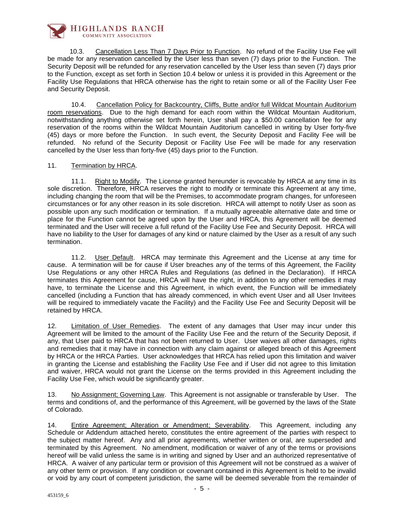

10.3. Cancellation Less Than 7 Days Prior to Function. No refund of the Facility Use Fee will be made for any reservation cancelled by the User less than seven (7) days prior to the Function. The Security Deposit will be refunded for any reservation cancelled by the User less than seven (7) days prior to the Function, except as set forth in Section 10.4 below or unless it is provided in this Agreement or the Facility Use Regulations that HRCA otherwise has the right to retain some or all of the Facility User Fee and Security Deposit.

10.4. Cancellation Policy for Backcountry, Cliffs, Butte and/or full Wildcat Mountain Auditorium room reservations. Due to the high demand for each room within the Wildcat Mountain Auditorium, notwithstanding anything otherwise set forth herein, User shall pay a \$50.00 cancellation fee for any reservation of the rooms within the Wildcat Mountain Auditorium cancelled in writing by User forty-five (45) days or more before the Function. In such event, the Security Deposit and Facility Fee will be refunded. No refund of the Security Deposit or Facility Use Fee will be made for any reservation cancelled by the User less than forty-five (45) days prior to the Function.

#### 11. Termination by HRCA.

11.1. Right to Modify. The License granted hereunder is revocable by HRCA at any time in its sole discretion. Therefore, HRCA reserves the right to modify or terminate this Agreement at any time, including changing the room that will be the Premises, to accommodate program changes, for unforeseen circumstances or for any other reason in its sole discretion. HRCA will attempt to notify User as soon as possible upon any such modification or termination. If a mutually agreeable alternative date and time or place for the Function cannot be agreed upon by the User and HRCA, this Agreement will be deemed terminated and the User will receive a full refund of the Facility Use Fee and Security Deposit. HRCA will have no liability to the User for damages of any kind or nature claimed by the User as a result of any such termination.

11.2. User Default. HRCA may terminate this Agreement and the License at any time for cause. A termination will be for cause if User breaches any of the terms of this Agreement, the Facility Use Regulations or any other HRCA Rules and Regulations (as defined in the Declaration). If HRCA terminates this Agreement for cause, HRCA will have the right, in addition to any other remedies it may have, to terminate the License and this Agreement, in which event, the Function will be immediately cancelled (including a Function that has already commenced, in which event User and all User Invitees will be required to immediately vacate the Facility) and the Facility Use Fee and Security Deposit will be retained by HRCA.

12. Limitation of User Remedies. The extent of any damages that User may incur under this Agreement will be limited to the amount of the Facility Use Fee and the return of the Security Deposit, if any, that User paid to HRCA that has not been returned to User. User waives all other damages, rights and remedies that it may have in connection with any claim against or alleged breach of this Agreement by HRCA or the HRCA Parties. User acknowledges that HRCA has relied upon this limitation and waiver in granting the License and establishing the Facility Use Fee and if User did not agree to this limitation and waiver, HRCA would not grant the License on the terms provided in this Agreement including the Facility Use Fee, which would be significantly greater.

13. No Assignment; Governing Law. This Agreement is not assignable or transferable by User. The terms and conditions of, and the performance of this Agreement, will be governed by the laws of the State of Colorado.

14. Entire Agreement; Alteration or Amendment; Severability. This Agreement, including any Schedule or Addendum attached hereto, constitutes the entire agreement of the parties with respect to the subject matter hereof. Any and all prior agreements, whether written or oral, are superseded and terminated by this Agreement. No amendment, modification or waiver of any of the terms or provisions hereof will be valid unless the same is in writing and signed by User and an authorized representative of HRCA. A waiver of any particular term or provision of this Agreement will not be construed as a waiver of any other term or provision. If any condition or covenant contained in this Agreement is held to be invalid or void by any court of competent jurisdiction, the same will be deemed severable from the remainder of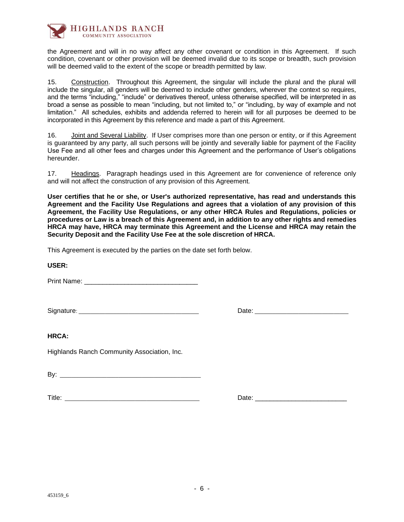

the Agreement and will in no way affect any other covenant or condition in this Agreement. If such condition, covenant or other provision will be deemed invalid due to its scope or breadth, such provision will be deemed valid to the extent of the scope or breadth permitted by law.

15. Construction. Throughout this Agreement, the singular will include the plural and the plural will include the singular, all genders will be deemed to include other genders, wherever the context so requires, and the terms "including," "include" or derivatives thereof, unless otherwise specified, will be interpreted in as broad a sense as possible to mean "including, but not limited to," or "including, by way of example and not limitation." All schedules, exhibits and addenda referred to herein will for all purposes be deemed to be incorporated in this Agreement by this reference and made a part of this Agreement.

16. Joint and Several Liability. If User comprises more than one person or entity, or if this Agreement is guaranteed by any party, all such persons will be jointly and severally liable for payment of the Facility Use Fee and all other fees and charges under this Agreement and the performance of User's obligations hereunder.

17. Headings. Paragraph headings used in this Agreement are for convenience of reference only and will not affect the construction of any provision of this Agreement.

**User certifies that he or she, or User's authorized representative, has read and understands this Agreement and the Facility Use Regulations and agrees that a violation of any provision of this Agreement, the Facility Use Regulations, or any other HRCA Rules and Regulations, policies or procedures or Law is a breach of this Agreement and, in addition to any other rights and remedies HRCA may have, HRCA may terminate this Agreement and the License and HRCA may retain the Security Deposit and the Facility Use Fee at the sole discretion of HRCA.**

This Agreement is executed by the parties on the date set forth below.

#### **USER:**

Print Name: \_\_\_\_\_\_\_\_\_\_\_\_\_\_\_\_\_\_\_\_\_\_\_\_\_\_\_\_\_\_\_

Signature: \_\_\_\_\_\_\_\_\_\_\_\_\_\_\_\_\_\_\_\_\_\_\_\_\_\_\_\_\_\_\_\_\_\_\_\_\_\_\_\_\_ Date: \_\_\_\_\_\_\_\_\_\_\_\_\_\_\_\_\_\_\_\_\_\_\_\_\_\_\_\_\_\_\_\_

#### **HRCA:**

Highlands Ranch Community Association, Inc.

 $\mathsf{B} \mathsf{v}$ :

Title: \_\_\_\_\_\_\_\_\_\_\_\_\_\_\_\_\_\_\_\_\_\_\_\_\_\_\_\_\_\_\_\_\_\_\_\_\_\_\_\_\_\_\_\_\_\_ Date: \_\_\_\_\_\_\_\_\_\_\_\_\_\_\_\_\_\_\_\_\_\_\_\_\_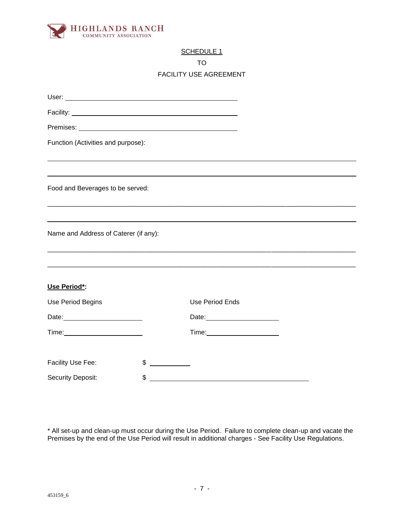

#### SCHEDULE<sub>1</sub>

TO

### FACILITY USE AGREEMENT

| Function (Activities and purpose):    |               |                                                                                  |  |
|---------------------------------------|---------------|----------------------------------------------------------------------------------|--|
|                                       |               |                                                                                  |  |
| Food and Beverages to be served:      |               |                                                                                  |  |
|                                       |               | ,我们也不会有什么。""我们的人,我们也不会有什么?""我们的人,我们也不会有什么?""我们的人,我们也不会有什么?""我们的人,我们也不会有什么?""我们的人 |  |
| Name and Address of Caterer (if any): |               |                                                                                  |  |
|                                       |               |                                                                                  |  |
| Use Period*:                          |               |                                                                                  |  |
| Use Period Begins                     |               | <b>Use Period Ends</b>                                                           |  |
|                                       |               | Date: 2008                                                                       |  |
|                                       |               |                                                                                  |  |
| Facility Use Fee:                     | $\frac{1}{2}$ |                                                                                  |  |
| <b>Security Deposit:</b>              | \$            | <u> 1980 - Jan Samuel Barbara, martin di</u>                                     |  |

\* All set-up and clean-up must occur during the Use Period. Failure to complete clean-up and vacate the Premises by the end of the Use Period will result in additional charges - See Facility Use Regulations.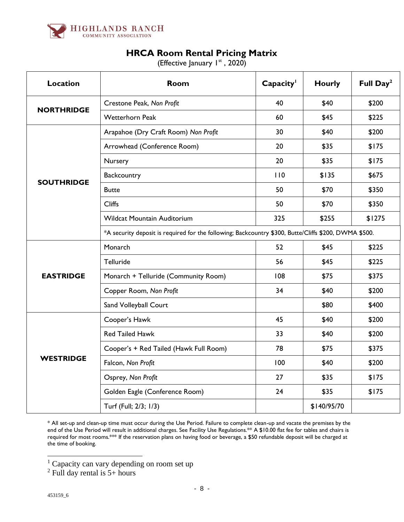

## **HRCA Room Rental Pricing Matrix**

(Effective January  $1^{st}$ , 2020)

| <b>Location</b>   | <b>Room</b>                                                                                           | Capacity <sup>1</sup> | <b>Hourly</b> | Full $Day2$ |  |
|-------------------|-------------------------------------------------------------------------------------------------------|-----------------------|---------------|-------------|--|
| <b>NORTHRIDGE</b> | Crestone Peak, Non Profit                                                                             | 40                    | \$40          | \$200       |  |
|                   | <b>Wetterhorn Peak</b>                                                                                | 60                    | \$45          | \$225       |  |
|                   | Arapahoe (Dry Craft Room) Non Profit                                                                  | 30                    | \$40          | \$200       |  |
|                   | Arrowhead (Conference Room)                                                                           | 20                    | \$35          | \$175       |  |
|                   | Nursery                                                                                               | 20                    | \$35          | \$175       |  |
| <b>SOUTHRIDGE</b> | Backcountry                                                                                           | 110                   | \$135         | \$675       |  |
|                   | <b>Butte</b>                                                                                          | 50                    | \$70          | \$350       |  |
|                   | <b>Cliffs</b>                                                                                         | 50                    | \$70          | \$350       |  |
|                   | <b>Wildcat Mountain Auditorium</b>                                                                    | 325                   | \$255         | \$1275      |  |
|                   | *A security deposit is required for the following; Backcountry \$300, Butte/Cliffs \$200, DWMA \$500. |                       |               |             |  |
|                   | Monarch                                                                                               | 52                    | \$45          | \$225       |  |
|                   | Telluride                                                                                             | 56                    | \$45          | \$225       |  |
| <b>EASTRIDGE</b>  | Monarch + Telluride (Community Room)                                                                  | 108                   | \$75          | \$375       |  |
|                   | Copper Room, Non Profit                                                                               | 34                    | \$40          | \$200       |  |
|                   | Sand Volleyball Court                                                                                 |                       | \$80          | \$400       |  |
|                   | Cooper's Hawk                                                                                         | 45                    | \$40          | \$200       |  |
|                   | <b>Red Tailed Hawk</b>                                                                                | 33                    | \$40          | \$200       |  |
|                   | Cooper's + Red Tailed (Hawk Full Room)                                                                | 78                    | \$75          | \$375       |  |
| <b>WESTRIDGE</b>  | Falcon, Non Profit                                                                                    | 100                   | \$40          | \$200       |  |
|                   | Osprey, Non Profit                                                                                    | 27                    | \$35          | \$175       |  |
|                   | Golden Eagle (Conference Room)                                                                        | 24                    | \$35          | \$175       |  |
|                   | Turf (Full; 2/3; 1/3)                                                                                 |                       | \$140/95/70   |             |  |

<sup>\*</sup> All set-up and clean-up time must occur during the Use Period. Failure to complete clean-up and vacate the premises by the end of the Use Period will result in additional charges. See Facility Use Regulations.<sup>\*\*</sup> A \$10.00 flat fee for tables and chairs is required for most rooms.\*\*\* If the reservation plans on having food or beverage, a \$50 refundable deposit will be charged at the time of booking.

 $\frac{1}{1}$  Capacity can vary depending on room set up

 $2$  Full day rental is  $5+$  hours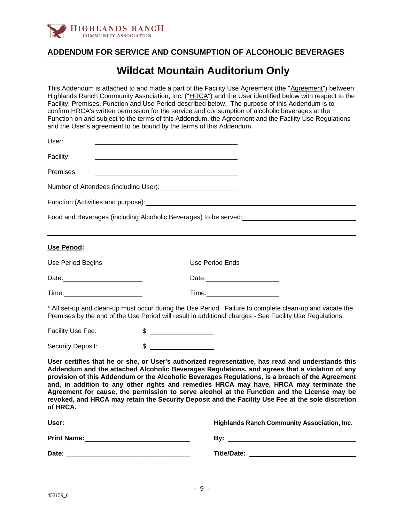

## **ADDENDUM FOR SERVICE AND CONSUMPTION OF ALCOHOLIC BEVERAGES**

# **Wildcat Mountain Auditorium Only**

This Addendum is attached to and made a part of the Facility Use Agreement (the "Agreement") between Highlands Ranch Community Association, Inc. ("HRCA") and the User identified below with respect to the Facility, Premises, Function and Use Period described below. The purpose of this Addendum is to confirm HRCA's written permission for the service and consumption of alcoholic beverages at the Function on and subject to the terms of this Addendum, the Agreement and the Facility Use Regulations and the User's agreement to be bound by the terms of this Addendum.

| User:                                                                           |                                                                                                                                                                                                                               |                                                                                                                      |                                                                                                                                                                                                                                                                                                                                                                                                  |
|---------------------------------------------------------------------------------|-------------------------------------------------------------------------------------------------------------------------------------------------------------------------------------------------------------------------------|----------------------------------------------------------------------------------------------------------------------|--------------------------------------------------------------------------------------------------------------------------------------------------------------------------------------------------------------------------------------------------------------------------------------------------------------------------------------------------------------------------------------------------|
| Facility:                                                                       | the control of the control of the control of the control of the control of the control of the control of the control of the control of the control of the control of the control of the control of the control of the control |                                                                                                                      |                                                                                                                                                                                                                                                                                                                                                                                                  |
| Premises:                                                                       |                                                                                                                                                                                                                               |                                                                                                                      |                                                                                                                                                                                                                                                                                                                                                                                                  |
| Number of Attendees (including User): __________________________                |                                                                                                                                                                                                                               |                                                                                                                      |                                                                                                                                                                                                                                                                                                                                                                                                  |
| Function (Activities and purpose): Manual Community of Activities and purpose): |                                                                                                                                                                                                                               |                                                                                                                      |                                                                                                                                                                                                                                                                                                                                                                                                  |
|                                                                                 |                                                                                                                                                                                                                               |                                                                                                                      |                                                                                                                                                                                                                                                                                                                                                                                                  |
|                                                                                 |                                                                                                                                                                                                                               |                                                                                                                      |                                                                                                                                                                                                                                                                                                                                                                                                  |
| Use Period:                                                                     |                                                                                                                                                                                                                               |                                                                                                                      |                                                                                                                                                                                                                                                                                                                                                                                                  |
| Use Period Begins                                                               |                                                                                                                                                                                                                               | Use Period Ends                                                                                                      |                                                                                                                                                                                                                                                                                                                                                                                                  |
|                                                                                 |                                                                                                                                                                                                                               |                                                                                                                      |                                                                                                                                                                                                                                                                                                                                                                                                  |
|                                                                                 |                                                                                                                                                                                                                               |                                                                                                                      |                                                                                                                                                                                                                                                                                                                                                                                                  |
|                                                                                 |                                                                                                                                                                                                                               |                                                                                                                      | * All set-up and clean-up must occur during the Use Period. Failure to complete clean-up and vacate the<br>Premises by the end of the Use Period will result in additional charges - See Facility Use Regulations.                                                                                                                                                                               |
| Facility Use Fee:                                                               | $\frac{1}{2}$                                                                                                                                                                                                                 |                                                                                                                      |                                                                                                                                                                                                                                                                                                                                                                                                  |
| Security Deposit:                                                               | \$                                                                                                                                                                                                                            | <u> 1990 - Johann Barbara, politik eta politik eta politik eta politik eta politik eta politik eta politik eta p</u> |                                                                                                                                                                                                                                                                                                                                                                                                  |
|                                                                                 |                                                                                                                                                                                                                               |                                                                                                                      | User certifies that he or she, or User's authorized representative, has read and understands this<br>Addendum and the attached Alcoholic Beverages Regulations, and agrees that a violation of any<br>provision of this Addendum or the Alcoholic Beverages Regulations, is a breach of the Agreement<br>and, in addition to any other rights and remedies HRCA may have, HRCA may terminate the |

**Agreement for cause, the permission to serve alcohol at the Function and the License may be revoked, and HRCA may retain the Security Deposit and the Facility Use Fee at the sole discretion of HRCA.**

| User:              | <b>Highlands Ranch Community Association, Inc.</b> |
|--------------------|----------------------------------------------------|
| <b>Print Name:</b> | Bv:                                                |
| Date:              | Title/Date:                                        |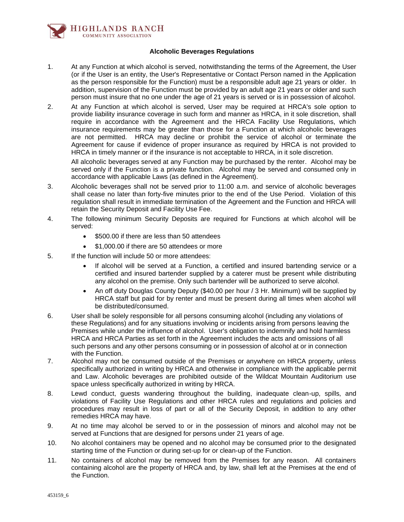

#### **Alcoholic Beverages Regulations**

- 1. At any Function at which alcohol is served, notwithstanding the terms of the Agreement, the User (or if the User is an entity, the User's Representative or Contact Person named in the Application as the person responsible for the Function) must be a responsible adult age 21 years or older. In addition, supervision of the Function must be provided by an adult age 21 years or older and such person must insure that no one under the age of 21 years is served or is in possession of alcohol.
- 2. At any Function at which alcohol is served, User may be required at HRCA's sole option to provide liability insurance coverage in such form and manner as HRCA, in it sole discretion, shall require in accordance with the Agreement and the HRCA Facility Use Regulations, which insurance requirements may be greater than those for a Function at which alcoholic beverages are not permitted. HRCA may decline or prohibit the service of alcohol or terminate the Agreement for cause if evidence of proper insurance as required by HRCA is not provided to HRCA in timely manner or if the insurance is not acceptable to HRCA, in it sole discretion.

All alcoholic beverages served at any Function may be purchased by the renter. Alcohol may be served only if the Function is a private function. Alcohol may be served and consumed only in accordance with applicable Laws (as defined in the Agreement).

- 3. Alcoholic beverages shall not be served prior to 11:00 a.m. and service of alcoholic beverages shall cease no later than forty-five minutes prior to the end of the Use Period. Violation of this regulation shall result in immediate termination of the Agreement and the Function and HRCA will retain the Security Deposit and Facility Use Fee.
- 4. The following minimum Security Deposits are required for Functions at which alcohol will be served:
	- \$500.00 if there are less than 50 attendees
	- \$1,000.00 if there are 50 attendees or more
- 5. If the function will include 50 or more attendees:
	- If alcohol will be served at a Function, a certified and insured bartending service or a certified and insured bartender supplied by a caterer must be present while distributing any alcohol on the premise. Only such bartender will be authorized to serve alcohol.
	- An off duty Douglas County Deputy (\$40.00 per hour / 3 Hr. Minimum) will be supplied by HRCA staff but paid for by renter and must be present during all times when alcohol will be distributed/consumed.
- 6. User shall be solely responsible for all persons consuming alcohol (including any violations of these Regulations) and for any situations involving or incidents arising from persons leaving the Premises while under the influence of alcohol. User's obligation to indemnify and hold harmless HRCA and HRCA Parties as set forth in the Agreement includes the acts and omissions of all such persons and any other persons consuming or in possession of alcohol at or in connection with the Function.
- 7. Alcohol may not be consumed outside of the Premises or anywhere on HRCA property, unless specifically authorized in writing by HRCA and otherwise in compliance with the applicable permit and Law. Alcoholic beverages are prohibited outside of the Wildcat Mountain Auditorium use space unless specifically authorized in writing by HRCA.
- 8. Lewd conduct, guests wandering throughout the building, inadequate clean-up, spills, and violations of Facility Use Regulations and other HRCA rules and regulations and policies and procedures may result in loss of part or all of the Security Deposit, in addition to any other remedies HRCA may have.
- 9. At no time may alcohol be served to or in the possession of minors and alcohol may not be served at Functions that are designed for persons under 21 years of age.
- 10. No alcohol containers may be opened and no alcohol may be consumed prior to the designated starting time of the Function or during set-up for or clean-up of the Function.
- 11. No containers of alcohol may be removed from the Premises for any reason. All containers containing alcohol are the property of HRCA and, by law, shall left at the Premises at the end of the Function.